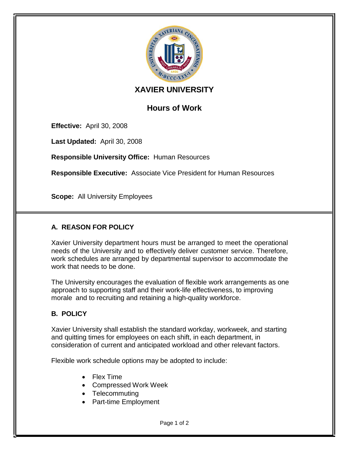

## **XAVIER UNIVERSITY**

# **Hours of Work**

**Effective:** April 30, 2008

**Last Updated:** April 30, 2008

**Responsible University Office:** Human Resources

**Responsible Executive:** Associate Vice President for Human Resources

**Scope:** All University Employees

## **A. REASON FOR POLICY**

Xavier University department hours must be arranged to meet the operational needs of the University and to effectively deliver customer service. Therefore, work schedules are arranged by departmental supervisor to accommodate the work that needs to be done.

The University encourages the evaluation of flexible work arrangements as one approach to supporting staff and their work-life effectiveness, to improving morale and to recruiting and retaining a high-quality workforce.

### **B. POLICY**

Xavier University shall establish the standard workday, workweek, and starting and quitting times for employees on each shift, in each department, in consideration of current and anticipated workload and other relevant factors.

Flexible work schedule options may be adopted to include:

- Flex Time
- Compressed Work Week
- Telecommuting
- Part-time Employment